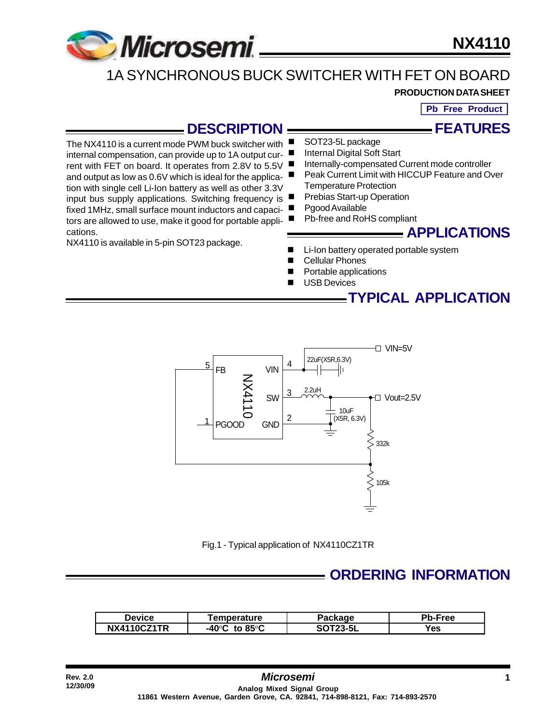

The NX4110 is a current mode PWM buck switcher with internal compensation, can provide up to 1A output current with FET on board. It operates from 2.8V to 5.5V and output as low as 0.6V which is ideal for the application with single cell Li-Ion battery as well as other 3.3V

fixed 1MHz, small surface mount inductors and capacitors are allowed to use, make it good for portable appli-

NX4110 is available in 5-pin SOT23 package.

**NX4110**

## 1A SYNCHRONOUS BUCK SWITCHER WITH FET ON BOARD

#### **PRODUCTION DATA SHEET**

**Pb Free Product**

**FEATURES**

### **DESCRIPTION**

SOT23-5L package

- Internal Digital Soft Start
- Internally-compensated Current mode controller
- Peak Current Limit with HICCUP Feature and Over
- Temperature Protection
- input bus supply applications. Switching frequency is  $\blacksquare$ Prebias Start-up Operation
	- Pgood Available
	- Pb-free and RoHS compliant

### **APPLICATIONS**

- Li-Ion battery operated portable system
- **Cellular Phones**
- Portable applications
- **USB Devices**

**TYPICAL APPLICATION**



Fig.1 - Typical application of NX4110CZ1TR

### **ORDERING INFORMATION**

| <b>Device</b> | <b>Femperature</b>                  | Package         | Pb-Free |
|---------------|-------------------------------------|-----------------|---------|
| NX4110CZ1TR   | -40°C<br>to 85 $\mathrm{^{\circ}C}$ | <b>SOT23-5L</b> | Yes     |

cations.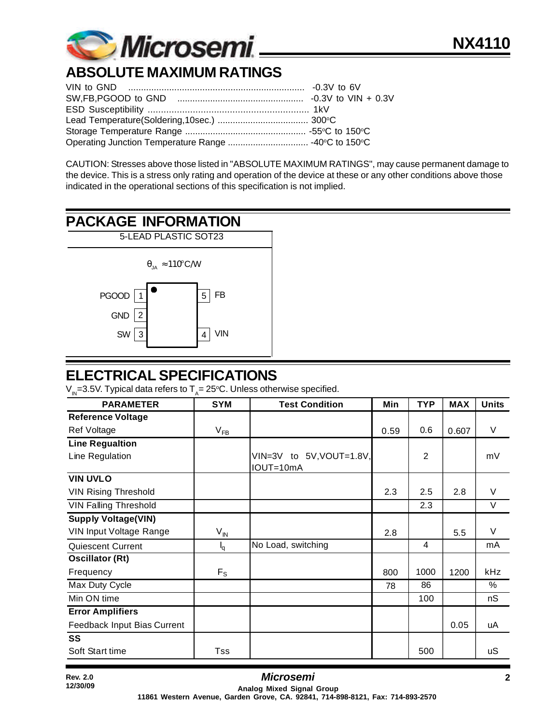

# **ABSOLUTE MAXIMUM RATINGS**

CAUTION: Stresses above those listed in "ABSOLUTE MAXIMUM RATINGS", may cause permanent damage to the device. This is a stress only rating and operation of the device at these or any other conditions above those indicated in the operational sections of this specification is not implied.

## **PACKAGE INFORMATION**



### **ELECTRICAL SPECIFICATIONS**

 $\rm V_{\rm in}$ =3.5V. Typical data refers to T $_{\rm A}$ = 25°C. Unless otherwise specified.

| <b>PARAMETER</b>             | <b>SYM</b>      | <b>Test Condition</b>                 | Min  | <b>TYP</b>     | <b>MAX</b> | <b>Units</b> |
|------------------------------|-----------------|---------------------------------------|------|----------------|------------|--------------|
| <b>Reference Voltage</b>     |                 |                                       |      |                |            |              |
| Ref Voltage                  | $V_{FB}$        |                                       | 0.59 | 0.6            | 0.607      | V            |
| <b>Line Regualtion</b>       |                 |                                       |      |                |            |              |
| Line Regulation              |                 | VIN=3V to 5V, VOUT=1.8V,<br>IOUT=10mA |      | $\overline{2}$ |            | mV           |
| <b>VIN UVLO</b>              |                 |                                       |      |                |            |              |
| <b>VIN Rising Threshold</b>  |                 |                                       | 2.3  | 2.5            | 2.8        | $\vee$       |
| <b>VIN Falling Threshold</b> |                 |                                       |      | 2.3            |            | $\vee$       |
| <b>Supply Voltage(VIN)</b>   |                 |                                       |      |                |            |              |
| VIN Input Voltage Range      | $V_{\text{IN}}$ |                                       | 2.8  |                | 5.5        | $\vee$       |
| Quiescent Current            | $I_q$           | No Load, switching                    |      | 4              |            | mA           |
| <b>Oscillator (Rt)</b>       |                 |                                       |      |                |            |              |
| Frequency                    | $F_S$           |                                       | 800  | 1000           | 1200       | kHz          |
| Max Duty Cycle               |                 |                                       | 78   | 86             |            | %            |
| Min ON time                  |                 |                                       |      | 100            |            | nS           |
| <b>Error Amplifiers</b>      |                 |                                       |      |                |            |              |
| Feedback Input Bias Current  |                 |                                       |      |                | 0.05       | uA           |
| SS                           |                 |                                       |      |                |            |              |
| Soft Start time              | Tss             |                                       |      | 500            |            | uS           |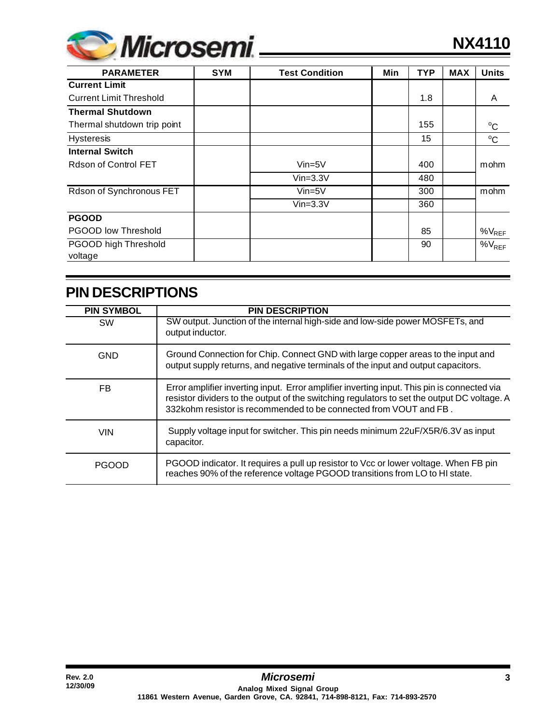

| <b>PARAMETER</b>               | <b>SYM</b> | <b>Test Condition</b> | Min | <b>TYP</b> | <b>MAX</b> | <b>Units</b> |
|--------------------------------|------------|-----------------------|-----|------------|------------|--------------|
| <b>Current Limit</b>           |            |                       |     |            |            |              |
| <b>Current Limit Threshold</b> |            |                       |     | 1.8        |            | A            |
| <b>Thermal Shutdown</b>        |            |                       |     |            |            |              |
| Thermal shutdown trip point    |            |                       |     | 155        |            | $^{\circ}$ C |
| <b>Hysteresis</b>              |            |                       |     | 15         |            | $\rm ^{o}C$  |
| <b>Internal Switch</b>         |            |                       |     |            |            |              |
| Rdson of Control FET           |            | $Vin=5V$              |     | 400        |            | mohm         |
|                                |            | $Vin=3.3V$            |     | 480        |            |              |
| Rdson of Synchronous FET       |            | $Vin=5V$              |     | 300        |            | mohm         |
|                                |            | $Vin=3.3V$            |     | 360        |            |              |
| <b>PGOOD</b>                   |            |                       |     |            |            |              |
| <b>PGOOD low Threshold</b>     |            |                       |     | 85         |            | $%V_{REF}$   |
| PGOOD high Threshold           |            |                       |     | 90         |            | $\%V_{REF}$  |
| voltage                        |            |                       |     |            |            |              |

## **PIN DESCRIPTIONS**

| <b>PIN SYMBOL</b> | <b>PIN DESCRIPTION</b>                                                                                                                                                                                                                                          |
|-------------------|-----------------------------------------------------------------------------------------------------------------------------------------------------------------------------------------------------------------------------------------------------------------|
| <b>SW</b>         | SW output. Junction of the internal high-side and low-side power MOSFETs, and<br>output inductor.                                                                                                                                                               |
| <b>GND</b>        | Ground Connection for Chip. Connect GND with large copper areas to the input and<br>output supply returns, and negative terminals of the input and output capacitors.                                                                                           |
| FB                | Error amplifier inverting input. Error amplifier inverting input. This pin is connected via<br>resistor dividers to the output of the switching regulators to set the output DC voltage. A<br>332kohm resistor is recommended to be connected from VOUT and FB. |
| <b>VIN</b>        | Supply voltage input for switcher. This pin needs minimum 22uF/X5R/6.3V as input<br>capacitor.                                                                                                                                                                  |
| <b>PGOOD</b>      | PGOOD indicator. It requires a pull up resistor to Vcc or lower voltage. When FB pin<br>reaches 90% of the reference voltage PGOOD transitions from LO to HI state.                                                                                             |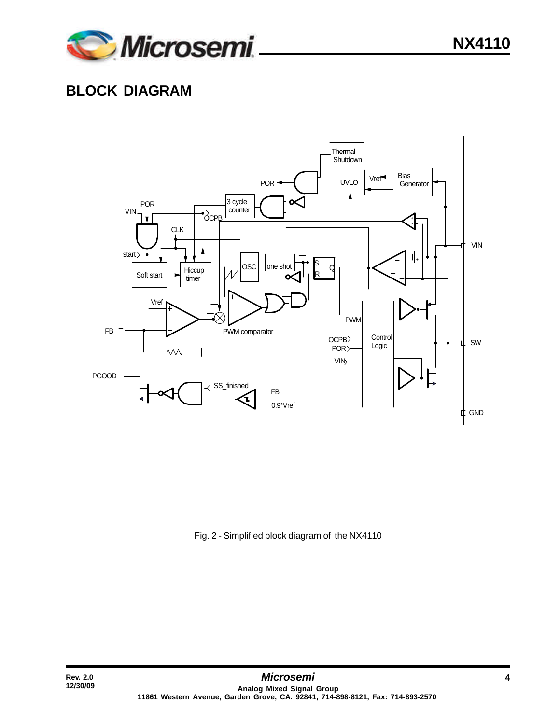

## **BLOCK DIAGRAM**



Fig. 2 - Simplified block diagram of the NX4110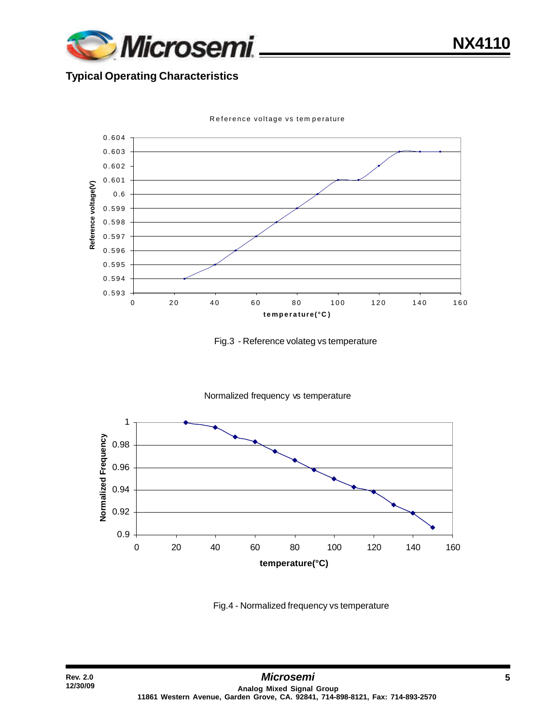

**NX4110**

#### **Typical Operating Characteristics**



Reference voltage vs tem perature





Fig.4 - Normalized frequency vs temperature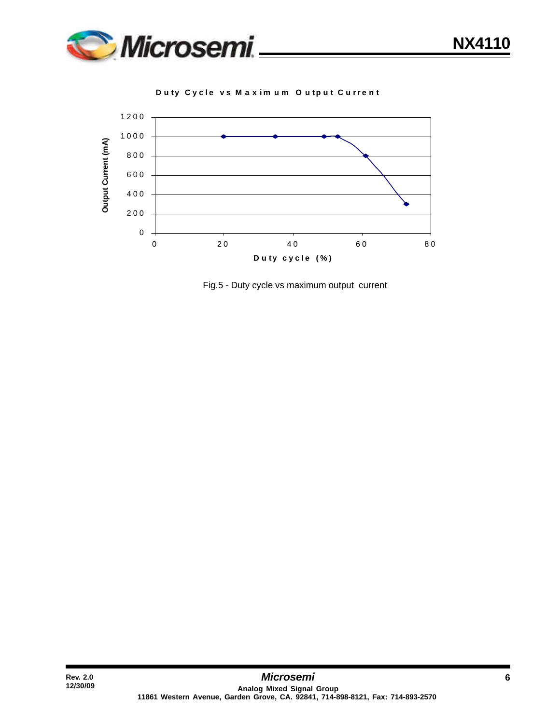

**D u ty Cyc l e v s Max i m u m O u tp u t C u r r ent**



Fig.5 - Duty cycle vs maximum output current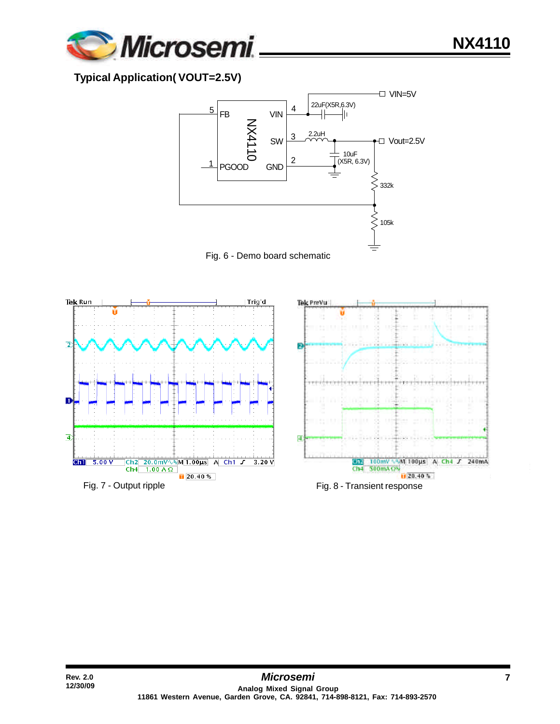

#### **Typical Application( VOUT=2.5V)**





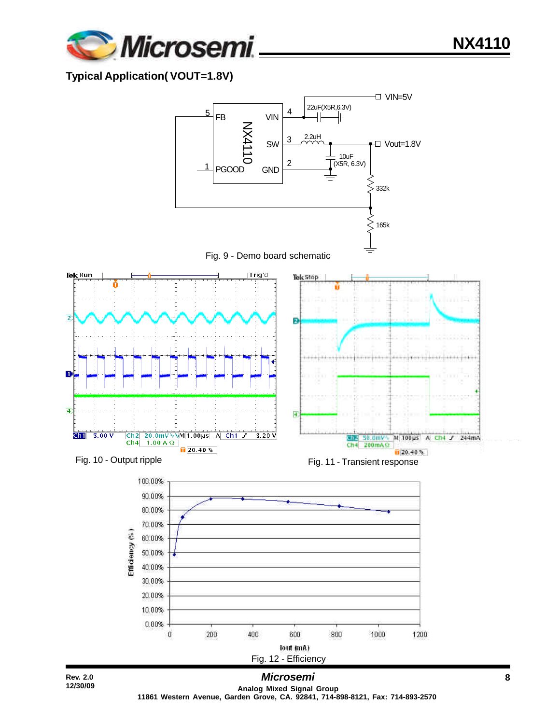

#### **Typical Application( VOUT=1.8V)**

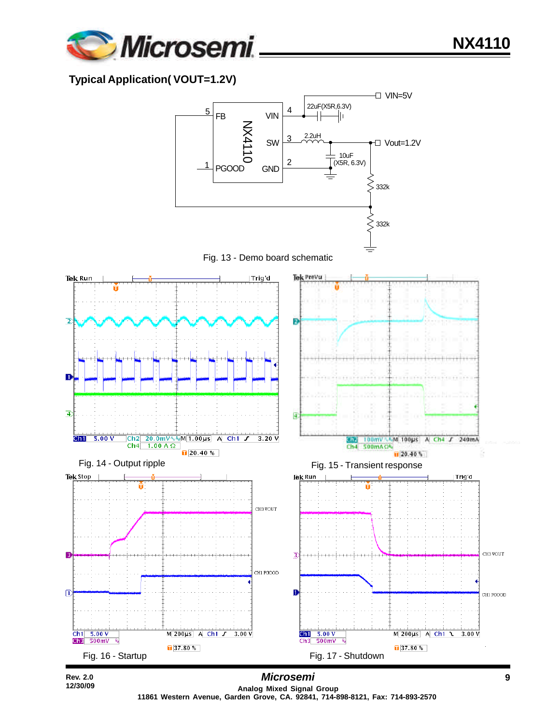

#### **Typical Application( VOUT=1.2V)**

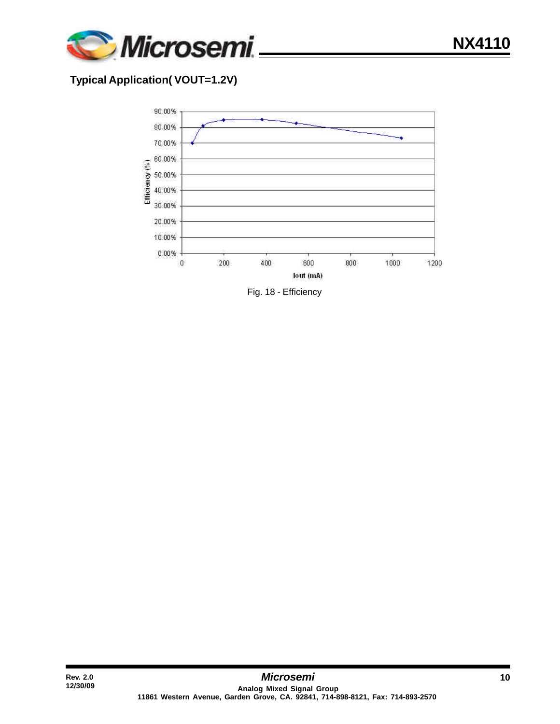

#### **Typical Application( VOUT=1.2V)**

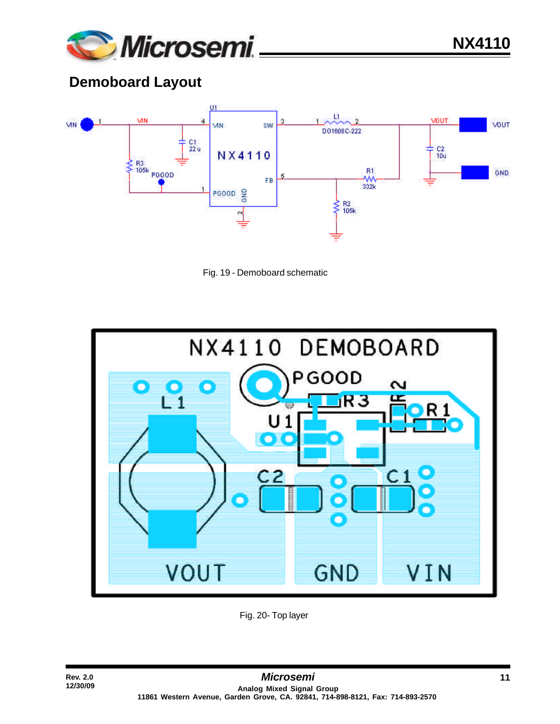

## **Demoboard Layout**







Fig. 20- Top layer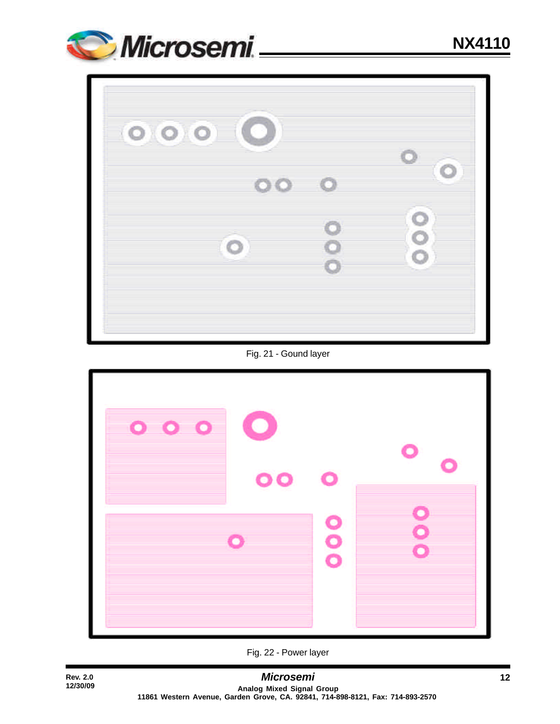

| 000 |     | o                   |
|-----|-----|---------------------|
|     | 000 |                     |
| O   |     | O<br>$\bullet$<br>Ó |

Fig. 21 - Gound layer



**12/30/09**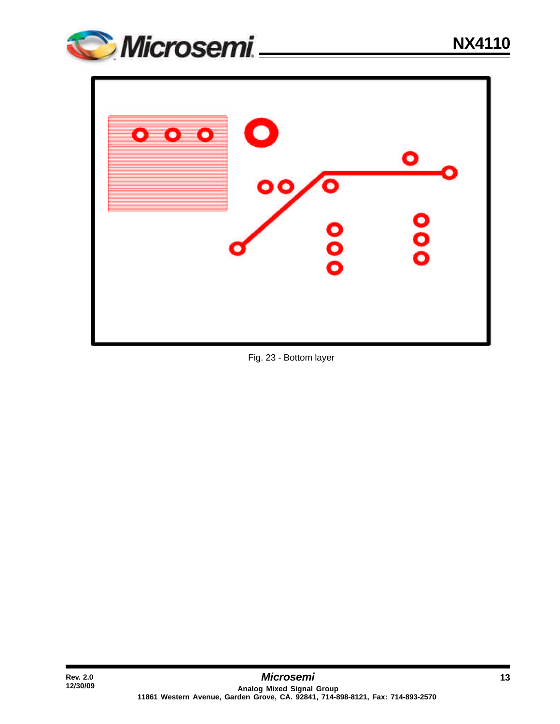



Fig. 23 - Bottom layer